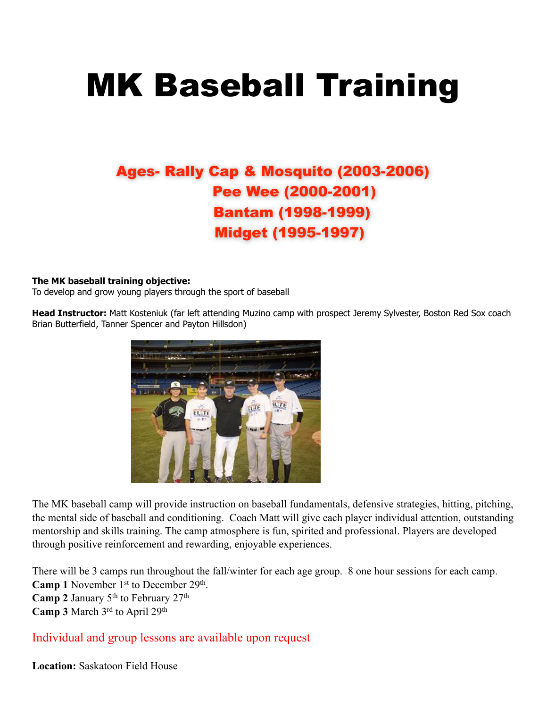# MK Baseball Training

## Ages- Rally Cap & Mosquito (2003-2006) Pee Wee (2000-2001) Bantam (1998-1999) Midget (1995-1997)

#### **The MK baseball training objective:**

To develop and grow young players through the sport of baseball

**Head Instructor:** Matt Kosteniuk (far left attending Muzino camp with prospect Jeremy Sylvester, Boston Red Sox coach Brian Butterfield, Tanner Spencer and Payton Hillsdon)



The MK baseball camp will provide instruction on baseball fundamentals, defensive strategies, hitting, pitching, the mental side of baseball and conditioning. Coach Matt will give each player individual attention, outstanding mentorship and skills training. The camp atmosphere is fun, spirited and professional. Players are developed through positive reinforcement and rewarding, enjoyable experiences.

There will be 3 camps run throughout the fall/winter for each age group. 8 one hour sessions for each camp. Camp 1 November 1<sup>st</sup> to December 29<sup>th</sup>. Camp 2 January 5<sup>th</sup> to February 27<sup>th</sup> **Camp 3** March 3rd to April 29th

Individual and group lessons are available upon request

**Location:** Saskatoon Field House